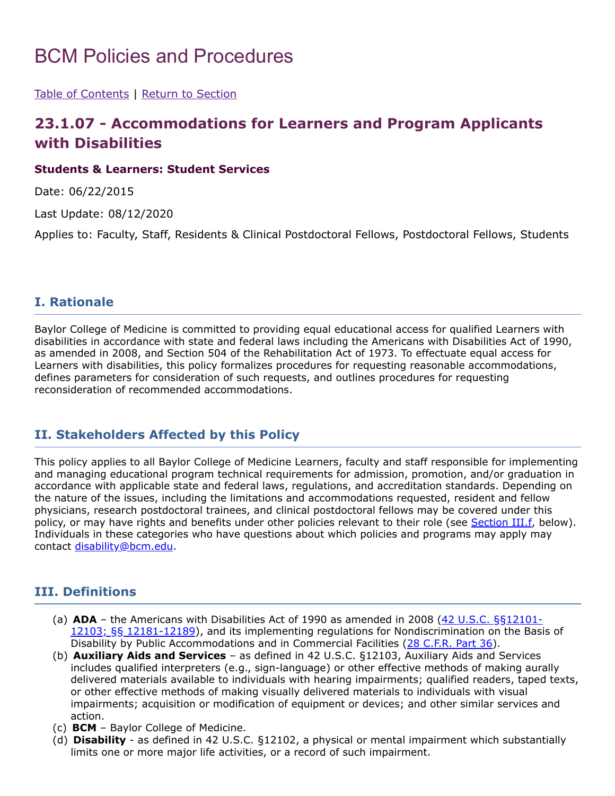# BCM Policies and Procedures

[Table of Contents](https://intranet.bcm.edu/index.cfm?fuseaction=Policies.Policies) | [Return to Section](https://intranet.bcm.edu/index.cfm?fuseaction=Policies.Policies&area=23)

## **23.1.07 - Accommodations for Learners and Program Applicants with Disabilities**

#### **Students & Learners: Student Services**

Date: 06/22/2015

Last Update: 08/12/2020

Applies to: Faculty, Staff, Residents & Clinical Postdoctoral Fellows, Postdoctoral Fellows, Students

#### **I. Rationale**

Baylor College of Medicine is committed to providing equal educational access for qualified Learners with disabilities in accordance with state and federal laws including the Americans with Disabilities Act of 1990, as amended in 2008, and Section 504 of the Rehabilitation Act of 1973. To effectuate equal access for Learners with disabilities, this policy formalizes procedures for requesting reasonable accommodations, defines parameters for consideration of such requests, and outlines procedures for requesting reconsideration of recommended accommodations.

## **II. Stakeholders Affected by this Policy**

This policy applies to all Baylor College of Medicine Learners, faculty and staff responsible for implementing and managing educational program technical requirements for admission, promotion, and/or graduation in accordance with applicable state and federal laws, regulations, and accreditation standards. Depending on the nature of the issues, including the limitations and accommodations requested, resident and fellow physicians, research postdoctoral trainees, and clinical postdoctoral fellows may be covered under this policy, or may have rights and benefits under other policies relevant to their role (see [Section](#page-1-0) III.f, below). Individuals in these categories who have questions about which policies and programs may apply may contact [disability@bcm.edu](mailto:disability@bcm.edu?subject=Question%20-%20Accommodations%20for%20Learners%20and%20Program%20Applicants%20with%20Disabilities).

#### **III. Definitions**

- (a) **ADA** the Americans with Disabilities Act of 1990 as amended in 2008 (42 U.S.C. §§12101- 12103; §§ 12181-12189), and its implementing regulations for [Nondiscrimination](https://www.ada.gov/pubs/adastatute08.htm) on the Basis of Disability by Public Accommodations and in Commercial Facilities (28 [C.F.R.](https://www.ecfr.gov/cgi-bin/text-idx?c=ecfr&SID=2ab2aab2d3d2fd0f544a5ce7aad8f04c&rgn=div5&view=text&node=28:1.0.1.1.37&idno=28#se28.1.36_1101) Part 36).
- (b) **Auxiliary Aids and Services** as defined in 42 U.S.C. §12103, Auxiliary Aids and Services includes qualified interpreters (e.g., sign-language) or other effective methods of making aurally delivered materials available to individuals with hearing impairments; qualified readers, taped texts, or other effective methods of making visually delivered materials to individuals with visual impairments; acquisition or modification of equipment or devices; and other similar services and action.
- (c) **BCM** Baylor College of Medicine.
- (d) **Disability** as defined in 42 U.S.C. §12102, a physical or mental impairment which substantially limits one or more major life activities, or a record of such impairment.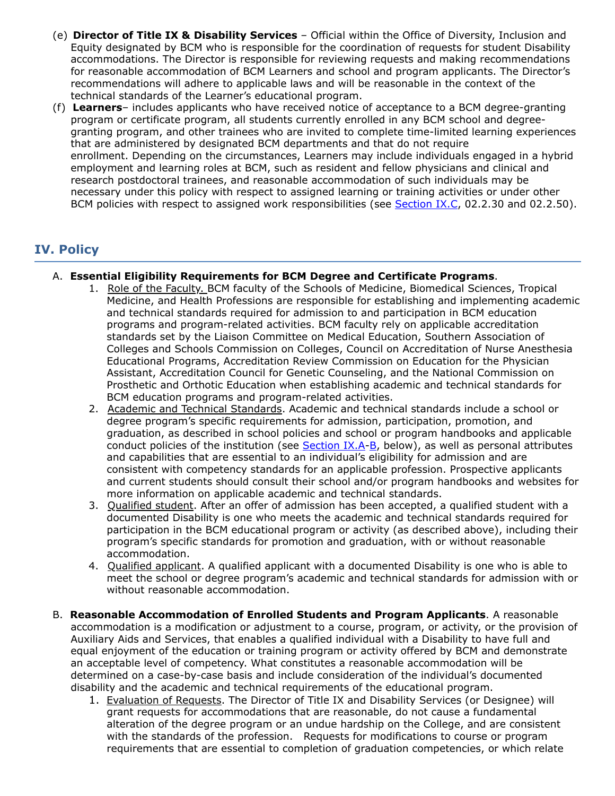- (e) **Director of Title IX & Disability Services** Official within the Office of Diversity, Inclusion and Equity designated by BCM who is responsible for the coordination of requests for student Disability accommodations. The Director is responsible for reviewing requests and making recommendations for reasonable accommodation of BCM Learners and school and program applicants. The Director's recommendations will adhere to applicable laws and will be reasonable in the context of the technical standards of the Learner's educational program.
- <span id="page-1-0"></span>(f) **Learners**– includes applicants who have received notice of acceptance to a BCM degree-granting program or certificate program, all students currently enrolled in any BCM school and degreegranting program, and other trainees who are invited to complete time-limited learning experiences that are administered by designated BCM departments and that do not require enrollment. Depending on the circumstances, Learners may include individuals engaged in a hybrid employment and learning roles at BCM, such as resident and fellow physicians and clinical and research postdoctoral trainees, and reasonable accommodation of such individuals may be necessary under this policy with respect to assigned learning or training activities or under other BCM policies with respect to assigned work responsibilities (see **[Section](#page-5-0) IX.C**, 02.2.30 and 02.2.50).

## **IV. Policy**

#### A. **Essential Eligibility Requirements for BCM Degree and Certificate Programs**.

- 1. Role of the Faculty. BCM faculty of the Schools of Medicine, Biomedical Sciences, Tropical Medicine, and Health Professions are responsible for establishing and implementing academic and technical standards required for admission to and participation in BCM education programs and program-related activities. BCM faculty rely on applicable accreditation standards set by the Liaison Committee on Medical Education, Southern Association of Colleges and Schools Commission on Colleges, Council on Accreditation of Nurse Anesthesia Educational Programs, Accreditation Review Commission on Education for the Physician Assistant, Accreditation Council for Genetic Counseling, and the National Commission on Prosthetic and Orthotic Education when establishing academic and technical standards for BCM education programs and program-related activities.
- <span id="page-1-1"></span>2. Academic and Technical Standards. Academic and technical standards include a school or degree program's specific requirements for admission, participation, promotion, and graduation, as described in school policies and school or program handbooks and applicable conduct policies of the institution (see **[Section](#page-4-0) IX.A-B**, below), as well as personal attributes and capabilities that are essential to an individual's eligibility for admission and are consistent with competency standards for an applicable profession. Prospective applicants and current students should consult their school and/or program handbooks and websites for more information on applicable academic and technical standards.
- 3. Qualified student. After an offer of admission has been accepted, a qualified student with a documented Disability is one who meets the academic and technical standards required for participation in the BCM educational program or activity (as described above), including their program's specific standards for promotion and graduation, with or without reasonable accommodation.
- 4. Qualified applicant. A qualified applicant with a documented Disability is one who is able to meet the school or degree program's academic and technical standards for admission with or without reasonable accommodation.
- B. **Reasonable Accommodation of Enrolled Students and Program Applicants**. A reasonable accommodation is a modification or adjustment to a course, program, or activity, or the provision of Auxiliary Aids and Services, that enables a qualified individual with a Disability to have full and equal enjoyment of the education or training program or activity offered by BCM and demonstrate an acceptable level of competency. What constitutes a reasonable accommodation will be determined on a case-by-case basis and include consideration of the individual's documented disability and the academic and technical requirements of the educational program.
	- 1. Evaluation of Requests. The Director of Title IX and Disability Services (or Designee) will grant requests for accommodations that are reasonable, do not cause a fundamental alteration of the degree program or an undue hardship on the College, and are consistent with the standards of the profession. Requests for modifications to course or program requirements that are essential to completion of graduation competencies, or which relate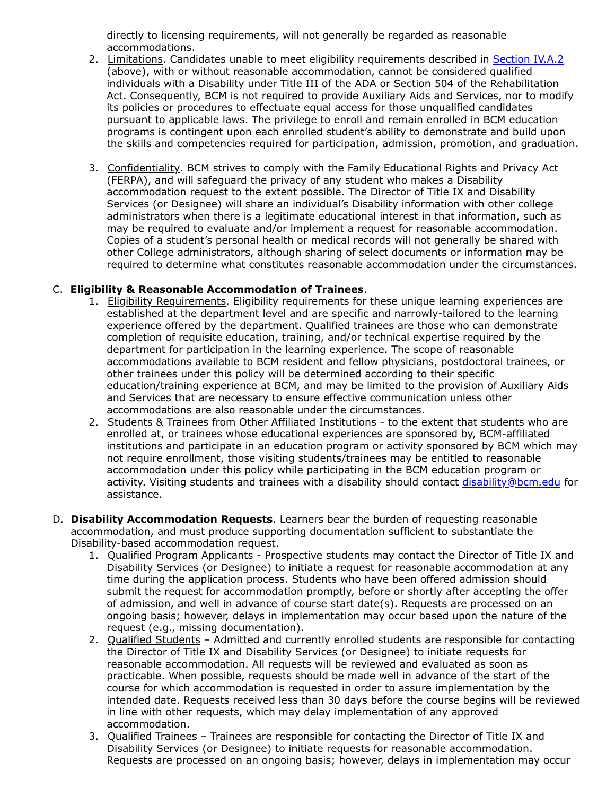directly to licensing requirements, will not generally be regarded as reasonable accommodations.

- 2. Limitations. Candidates unable to meet eligibility requirements described in [Section](#page-1-1) IV.A.2 (above), with or without reasonable accommodation, cannot be considered qualified individuals with a Disability under Title III of the ADA or Section 504 of the Rehabilitation Act. Consequently, BCM is not required to provide Auxiliary Aids and Services, nor to modify its policies or procedures to effectuate equal access for those unqualified candidates pursuant to applicable laws. The privilege to enroll and remain enrolled in BCM education programs is contingent upon each enrolled student's ability to demonstrate and build upon the skills and competencies required for participation, admission, promotion, and graduation.
- 3. Confidentiality. BCM strives to comply with the Family Educational Rights and Privacy Act (FERPA), and will safeguard the privacy of any student who makes a Disability accommodation request to the extent possible. The Director of Title IX and Disability Services (or Designee) will share an individual's Disability information with other college administrators when there is a legitimate educational interest in that information, such as may be required to evaluate and/or implement a request for reasonable accommodation. Copies of a student's personal health or medical records will not generally be shared with other College administrators, although sharing of select documents or information may be required to determine what constitutes reasonable accommodation under the circumstances.

#### C. **Eligibility & Reasonable Accommodation of Trainees**.

- 1. Eligibility Requirements. Eligibility requirements for these unique learning experiences are established at the department level and are specific and narrowly-tailored to the learning experience offered by the department. Qualified trainees are those who can demonstrate completion of requisite education, training, and/or technical expertise required by the department for participation in the learning experience. The scope of reasonable accommodations available to BCM resident and fellow physicians, postdoctoral trainees, or other trainees under this policy will be determined according to their specific education/training experience at BCM, and may be limited to the provision of Auxiliary Aids and Services that are necessary to ensure effective communication unless other accommodations are also reasonable under the circumstances.
- 2. Students & Trainees from Other Affiliated Institutions to the extent that students who are enrolled at, or trainees whose educational experiences are sponsored by, BCM-affiliated institutions and participate in an education program or activity sponsored by BCM which may not require enrollment, those visiting students/trainees may be entitled to reasonable accommodation under this policy while participating in the BCM education program or activity. Visiting students and trainees with a disability should contact [disability@bcm.edu](mailto:disability@bcm.edu?subject=Question%20-%20Accommodations%20for%20Learners%20and%20Program%20Applicants%20with%20Disabilities) for assistance.
- D. **Disability Accommodation Requests**. Learners bear the burden of requesting reasonable accommodation, and must produce supporting documentation sufficient to substantiate the Disability-based accommodation request.
	- 1. Qualified Program Applicants Prospective students may contact the Director of Title IX and Disability Services (or Designee) to initiate a request for reasonable accommodation at any time during the application process. Students who have been offered admission should submit the request for accommodation promptly, before or shortly after accepting the offer of admission, and well in advance of course start date(s). Requests are processed on an ongoing basis; however, delays in implementation may occur based upon the nature of the request (e.g., missing documentation).
	- 2. Qualified Students Admitted and currently enrolled students are responsible for contacting the Director of Title IX and Disability Services (or Designee) to initiate requests for reasonable accommodation. All requests will be reviewed and evaluated as soon as practicable. When possible, requests should be made well in advance of the start of the course for which accommodation is requested in order to assure implementation by the intended date. Requests received less than 30 days before the course begins will be reviewed in line with other requests, which may delay implementation of any approved accommodation.
	- 3. Qualified Trainees Trainees are responsible for contacting the Director of Title IX and Disability Services (or Designee) to initiate requests for reasonable accommodation. Requests are processed on an ongoing basis; however, delays in implementation may occur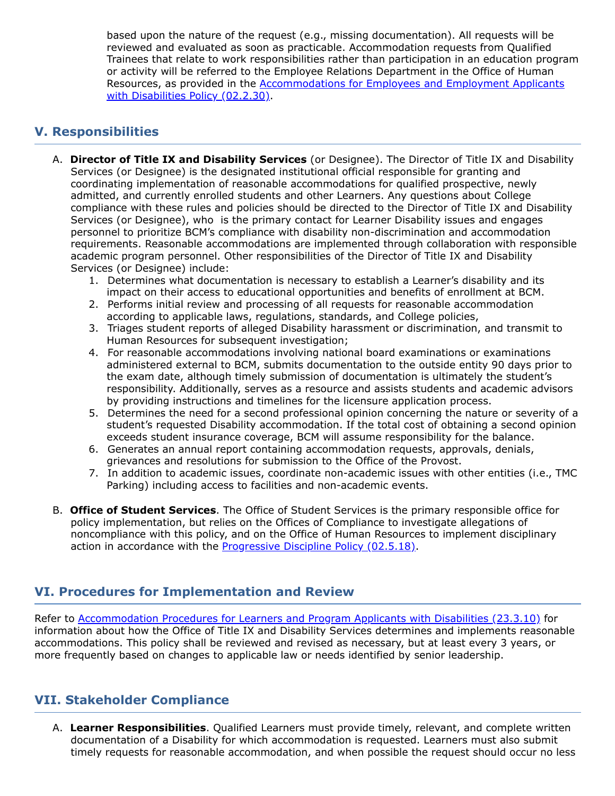based upon the nature of the request (e.g., missing documentation). All requests will be reviewed and evaluated as soon as practicable. Accommodation requests from Qualified Trainees that relate to work responsibilities rather than participation in an education program or activity will be referred to the Employee Relations Department in the Office of Human Resources, as provided in the [Accommodations](https://intranet.bcm.edu/index.cfm?fuseaction=Policies.Display_Policy&Policy_Number=02.2.30) for Employees and Employment Applicants with Disabilities Policy (02.2.30).

### **V. Responsibilities**

- A. **Director of Title IX and Disability Services** (or Designee). The Director of Title IX and Disability Services (or Designee) is the designated institutional official responsible for granting and coordinating implementation of reasonable accommodations for qualified prospective, newly admitted, and currently enrolled students and other Learners. Any questions about College compliance with these rules and policies should be directed to the Director of Title IX and Disability Services (or Designee), who is the primary contact for Learner Disability issues and engages personnel to prioritize BCM's compliance with disability non-discrimination and accommodation requirements. Reasonable accommodations are implemented through collaboration with responsible academic program personnel. Other responsibilities of the Director of Title IX and Disability Services (or Designee) include:
	- 1. Determines what documentation is necessary to establish a Learner's disability and its impact on their access to educational opportunities and benefits of enrollment at BCM.
	- 2. Performs initial review and processing of all requests for reasonable accommodation according to applicable laws, regulations, standards, and College policies,
	- 3. Triages student reports of alleged Disability harassment or discrimination, and transmit to Human Resources for subsequent investigation;
	- 4. For reasonable accommodations involving national board examinations or examinations administered external to BCM, submits documentation to the outside entity 90 days prior to the exam date, although timely submission of documentation is ultimately the student's responsibility. Additionally, serves as a resource and assists students and academic advisors by providing instructions and timelines for the licensure application process.
	- 5. Determines the need for a second professional opinion concerning the nature or severity of a student's requested Disability accommodation. If the total cost of obtaining a second opinion exceeds student insurance coverage, BCM will assume responsibility for the balance.
	- 6. Generates an annual report containing accommodation requests, approvals, denials, grievances and resolutions for submission to the Office of the Provost.
	- 7. In addition to academic issues, coordinate non-academic issues with other entities (i.e., TMC Parking) including access to facilities and non-academic events.
- B. **Office of Student Services**. The Office of Student Services is the primary responsible office for policy implementation, but relies on the Offices of Compliance to investigate allegations of noncompliance with this policy, and on the Office of Human Resources to implement disciplinary action in accordance with the **[Progressive](https://intranet.bcm.edu/index.cfm?fuseaction=Policies.Display_Policy&Policy_Number=02.5.18) Discipline Policy (02.5.18)**.

## **VI. Procedures for Implementation and Review**

Refer to **[Accommodation](https://intranet.bcm.edu/index.cfm?fuseaction=Policies.Display_Policy&Policy_Number=23.3.10) Procedures for Learners and Program Applicants with Disabilities (23.3.10)** for information about how the Office of Title IX and Disability Services determines and implements reasonable accommodations. This policy shall be reviewed and revised as necessary, but at least every 3 years, or more frequently based on changes to applicable law or needs identified by senior leadership.

## **VII. Stakeholder Compliance**

A. **Learner Responsibilities**. Qualified Learners must provide timely, relevant, and complete written documentation of a Disability for which accommodation is requested. Learners must also submit timely requests for reasonable accommodation, and when possible the request should occur no less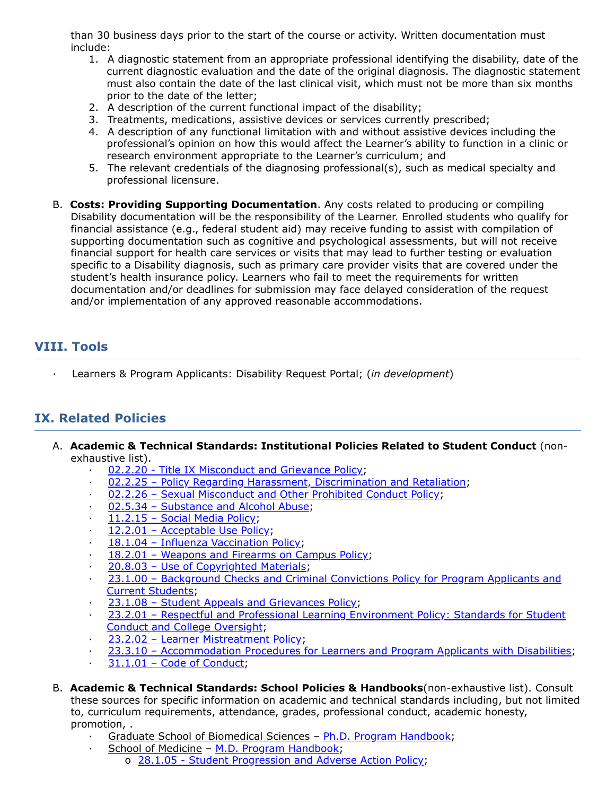than 30 business days prior to the start of the course or activity. Written documentation must include:

- 1. A diagnostic statement from an appropriate professional identifying the disability, date of the current diagnostic evaluation and the date of the original diagnosis. The diagnostic statement must also contain the date of the last clinical visit, which must not be more than six months prior to the date of the letter;
- 2. A description of the current functional impact of the disability;
- 3. Treatments, medications, assistive devices or services currently prescribed;
- 4. A description of any functional limitation with and without assistive devices including the professional's opinion on how this would affect the Learner's ability to function in a clinic or research environment appropriate to the Learner's curriculum; and
- 5. The relevant credentials of the diagnosing professional(s), such as medical specialty and professional licensure.
- B. **Costs: Providing Supporting Documentation**. Any costs related to producing or compiling Disability documentation will be the responsibility of the Learner. Enrolled students who qualify for financial assistance (e.g., federal student aid) may receive funding to assist with compilation of supporting documentation such as cognitive and psychological assessments, but will not receive financial support for health care services or visits that may lead to further testing or evaluation specific to a Disability diagnosis, such as primary care provider visits that are covered under the student's health insurance policy. Learners who fail to meet the requirements for written documentation and/or deadlines for submission may face delayed consideration of the request and/or implementation of any approved reasonable accommodations.

#### **VIII. Tools**

· Learners & Program Applicants: Disability Request Portal; (*in development*)

#### **IX. Related Policies**

- <span id="page-4-0"></span>A. **Academic & Technical Standards: Institutional Policies Related to Student Conduct** (nonexhaustive list).
	- 02.2.20 Title IX [Misconduct](https://intranet.bcm.edu/index.cfm?fuseaction=Policies.Display_Policy&Policy_Number=02.2.20) and Grievance Policy;
	- · 02.2.25 Policy Regarding Harassment, [Discrimination](https://intranet.bcm.edu/index.cfm?fuseaction=Policies.Display_Policy&Policy_Number=02.2.25) and Retaliation;
	- · 02.2.26 Sexual [Misconduct](https://intranet.bcm.edu/index.cfm?fuseaction=Policies.Display_Policy&Policy_Number=02.2.26) and Other Prohibited Conduct Policy;
	- · 02.5.34 [Substance](https://intranet.bcm.edu/index.cfm?fuseaction=Policies.Display_Policy&Policy_Number=02.5.34) and Alcohol Abuse;
	- [11.2.15](https://intranet.bcm.edu/index.cfm?fuseaction=Policies.Display_Policy&Policy_Number=11.2.15) Social Media Policy;
	- 12.2.01 [Acceptable](https://intranet.bcm.edu/index.cfm?fuseaction=Policies.Display_Policy&policy_number=12.2.01) Use Policy;
	- 18.1.04 Influenza [Vaccination](https://intranet.bcm.edu/index.cfm?fuseaction=Policies.Display_Policy&Policy_Number=18.1.04) Policy;
	- 18.2.01 [Weapons](https://intranet.bcm.edu/index.cfm?fuseaction=Policies.Display_Policy&Policy_Number=18.2.01) and Firearms on Campus Policy;
	- 20.8.03 Use of [Copyrighted](https://intranet.bcm.edu/index.cfm?fuseaction=Policies.Display_Policy&Policy_Number=20.8.03) Materials;
	- · 23.1.00 [Background](https://intranet.bcm.edu/index.cfm?fuseaction=Policies.Display_Policy&Policy_Number=23.1.00) Checks and Criminal Convictions Policy for Program Applicants and Current Students;
	- 23.1.08 Student Appeals and [Grievances](https://intranet.bcm.edu/index.cfm?fuseaction=Policies.Display_Policy&Policy_Number=23.1.08) Policy;
	- 23.2.01 Respectful and Professional Learning [Environment](https://intranet.bcm.edu/index.cfm?fuseaction=Policies.Display_Policy&Policy_Number=23.2.01) Policy: Standards for Student Conduct and College Oversight;
	- · 23.2.02 Learner [Mistreatment](https://intranet.bcm.edu/index.cfm?fuseaction=Policies.Display_Policy&Policy_Number=23.2.02) Policy;
	- 23.3.10 [Accommodation](https://intranet.bcm.edu/index.cfm?fuseaction=Policies.Display_Policy&Policy_Number=23.3.10) Procedures for Learners and Program Applicants with Disabilities;
	- $31.1.01$  Code of [Conduct](https://media.bcm.edu/documents/2015/94/bcm-code-of-conduct-final-june-2015.pdf);
- <span id="page-4-1"></span>B. **Academic & Technical Standards: School Policies & Handbooks**(non-exhaustive list). Consult these sources for specific information on academic and technical standards including, but not limited to, curriculum requirements, attendance, grades, professional conduct, academic honesty, promotion, .
	- Graduate School of Biomedical Sciences Ph.D. Program [Handbook;](https://intranet.bcm.edu/index.cfm?fuseaction=trainees.home)
		- School of Medicine M.D. Program [Handbook](https://www.bcm.edu/education/school-of-medicine/m-d-program/student-handbook);
			- o 28.1.05 Student [Progression](https://intranet.bcm.edu/index.cfm?fuseaction=Policies.Display_Policy&Policy_Number=28.1.05) and Adverse Action Policy;